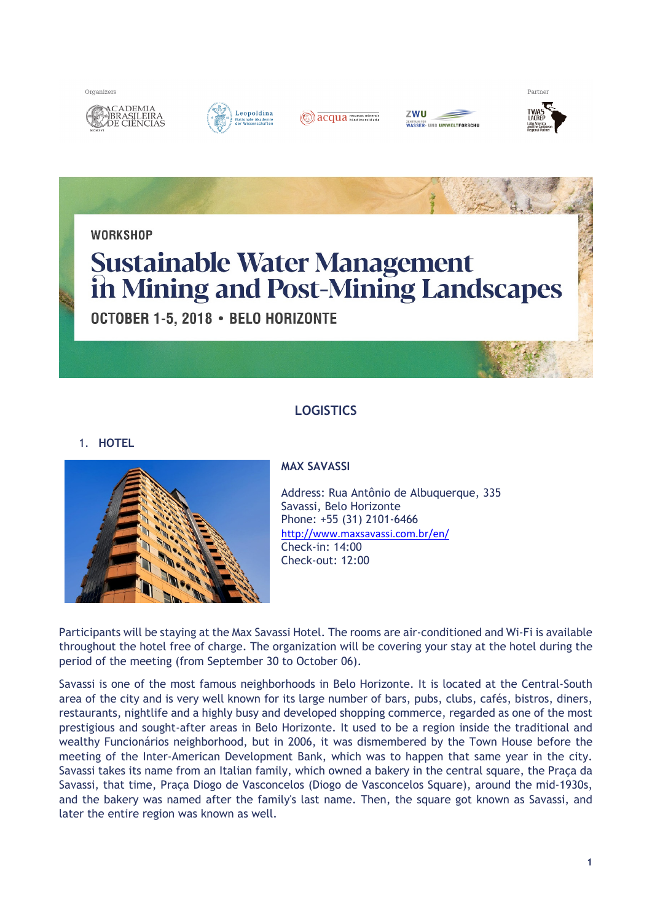Organizers







| ZWU               |                                  |
|-------------------|----------------------------------|
| <b>INTRUM FÜR</b> | <b>/ASSER- UND UMWELTFORSCHU</b> |





# **LOGISTICS**

1. **HOTEL**



# **MAX SAVASSI**

Address: Rua Antônio de Albuquerque, 335 Savassi, Belo Horizonte Phone: +55 (31) 2101-6466 http://www.maxsavassi.com.br/en/ Check-in: 14:00 Check-out: 12:00

Participants will be staying at the Max Savassi Hotel. The rooms are air-conditioned and Wi-Fi is available throughout the hotel free of charge. The organization will be covering your stay at the hotel during the period of the meeting (from September 30 to October 06).

Savassi is one of the most famous neighborhoods in Belo Horizonte. It is located at the Central-South area of the city and is very well known for its large number of bars, pubs, clubs, cafés, bistros, diners, restaurants, nightlife and a highly busy and developed shopping commerce, regarded as one of the most prestigious and sought-after areas in Belo Horizonte. It used to be a region inside the traditional and wealthy Funcionários neighborhood, but in 2006, it was dismembered by the Town House before the meeting of the Inter-American Development Bank, which was to happen that same year in the city. Savassi takes its name from an Italian family, which owned a bakery in the central square, the Praça da Savassi, that time, Praça Diogo de Vasconcelos (Diogo de Vasconcelos Square), around the mid-1930s, and the bakery was named after the family's last name. Then, the square got known as Savassi, and later the entire region was known as well.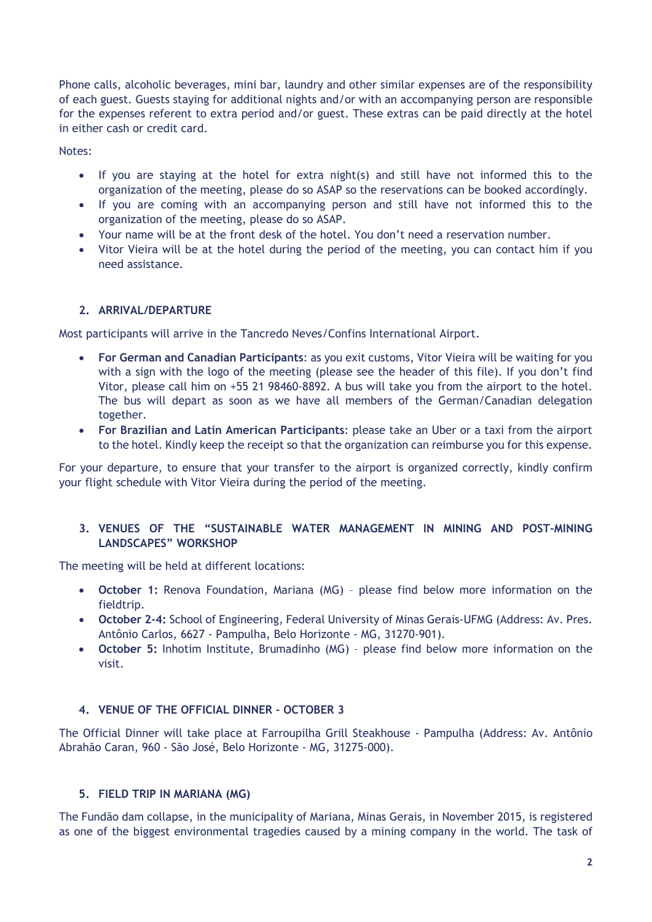Phone calls, alcoholic beverages, mini bar, laundry and other similar expenses are of the responsibility of each guest. Guests staying for additional nights and/or with an accompanying person are responsible for the expenses referent to extra period and/or guest. These extras can be paid directly at the hotel in either cash or credit card.

Notes:

- If you are staying at the hotel for extra night(s) and still have not informed this to the organization of the meeting, please do so ASAP so the reservations can be booked accordingly.
- If you are coming with an accompanying person and still have not informed this to the organization of the meeting, please do so ASAP.
- Your name will be at the front desk of the hotel. You don't need a reservation number.
- Vitor Vieira will be at the hotel during the period of the meeting, you can contact him if you need assistance.

# **2. ARRIVAL/DEPARTURE**

Most participants will arrive in the Tancredo Neves/Confins International Airport.

- **For German and Canadian Participants**: as you exit customs, Vitor Vieira will be waiting for you with a sign with the logo of the meeting (please see the header of this file). If you don't find Vitor, please call him on +55 21 98460-8892. A bus will take you from the airport to the hotel. The bus will depart as soon as we have all members of the German/Canadian delegation together.
- **For Brazilian and Latin American Participants**: please take an Uber or a taxi from the airport to the hotel. Kindly keep the receipt so that the organization can reimburse you for this expense.

For your departure, to ensure that your transfer to the airport is organized correctly, kindly confirm your flight schedule with Vitor Vieira during the period of the meeting.

## **3. VENUES OF THE "SUSTAINABLE WATER MANAGEMENT IN MINING AND POST-MINING LANDSCAPES" WORKSHOP**

The meeting will be held at different locations:

- **October 1:** Renova Foundation, Mariana (MG) please find below more information on the fieldtrip.
- **October 2-4:** School of Engineering, Federal University of Minas Gerais-UFMG (Address: Av. Pres. Antônio Carlos, 6627 - Pampulha, Belo Horizonte - MG, 31270-901).
- **October 5:** Inhotim Institute, Brumadinho (MG) please find below more information on the visit.

# **4. VENUE OF THE OFFICIAL DINNER – OCTOBER 3**

The Official Dinner will take place at Farroupilha Grill Steakhouse - Pampulha (Address: Av. Antônio Abrahão Caran, 960 - São José, Belo Horizonte - MG, 31275-000).

# **5. FIELD TRIP IN MARIANA (MG)**

The Fundão dam collapse, in the municipality of Mariana, Minas Gerais, in November 2015, is registered as one of the biggest environmental tragedies caused by a mining company in the world. The task of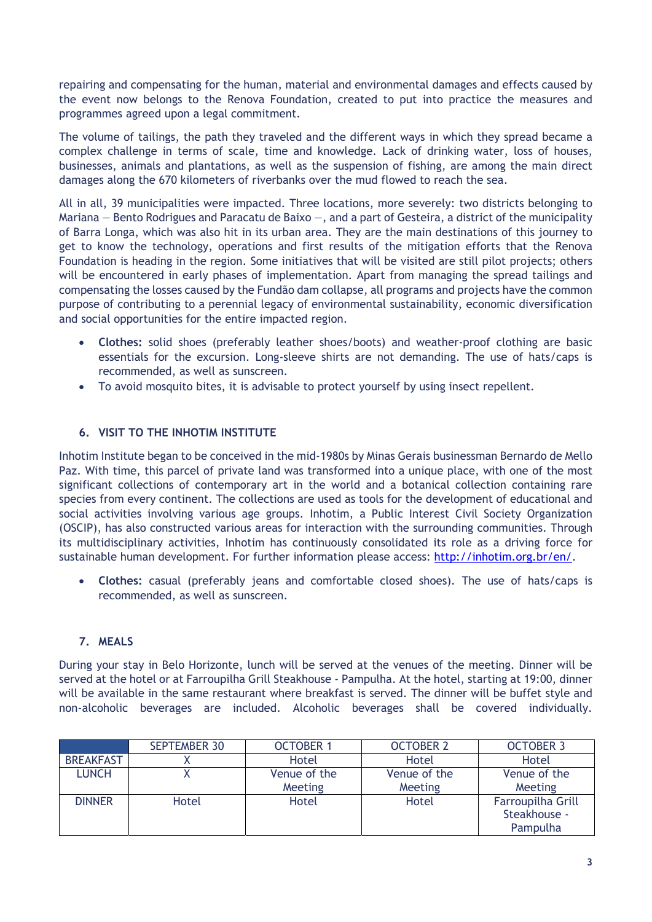repairing and compensating for the human, material and environmental damages and effects caused by the event now belongs to the Renova Foundation, created to put into practice the measures and programmes agreed upon a legal commitment.

The volume of tailings, the path they traveled and the different ways in which they spread became a complex challenge in terms of scale, time and knowledge. Lack of drinking water, loss of houses, businesses, animals and plantations, as well as the suspension of fishing, are among the main direct damages along the 670 kilometers of riverbanks over the mud flowed to reach the sea.

All in all, 39 municipalities were impacted. Three locations, more severely: two districts belonging to Mariana — Bento Rodrigues and Paracatu de Baixo —, and a part of Gesteira, a district of the municipality of Barra Longa, which was also hit in its urban area. They are the main destinations of this journey to get to know the technology, operations and first results of the mitigation efforts that the Renova Foundation is heading in the region. Some initiatives that will be visited are still pilot projects; others will be encountered in early phases of implementation. Apart from managing the spread tailings and compensating the losses caused by the Fundão dam collapse, all programs and projects have the common purpose of contributing to a perennial legacy of environmental sustainability, economic diversification and social opportunities for the entire impacted region.

- **Clothes:** solid shoes (preferably leather shoes/boots) and weather-proof clothing are basic essentials for the excursion. Long-sleeve shirts are not demanding. The use of hats/caps is recommended, as well as sunscreen.
- To avoid mosquito bites, it is advisable to protect yourself by using insect repellent.

# **6. VISIT TO THE INHOTIM INSTITUTE**

Inhotim Institute began to be conceived in the mid-1980s by Minas Gerais businessman Bernardo de Mello Paz. With time, this parcel of private land was transformed into a unique place, with one of the most significant collections of contemporary art in the world and a botanical collection containing rare species from every continent. The collections are used as tools for the development of educational and social activities involving various age groups. Inhotim, a Public Interest Civil Society Organization (OSCIP), has also constructed various areas for interaction with the surrounding communities. Through its multidisciplinary activities, Inhotim has continuously consolidated its role as a driving force for sustainable human development. For further information please access: http://inhotim.org.br/en/.

 **Clothes:** casual (preferably jeans and comfortable closed shoes). The use of hats/caps is recommended, as well as sunscreen.

# **7. MEALS**

During your stay in Belo Horizonte, lunch will be served at the venues of the meeting. Dinner will be served at the hotel or at Farroupilha Grill Steakhouse - Pampulha. At the hotel, starting at 19:00, dinner will be available in the same restaurant where breakfast is served. The dinner will be buffet style and non-alcoholic beverages are included. Alcoholic beverages shall be covered individually.

|                  | <b>SEPTEMBER 30</b> | <b>OCTOBER 1</b> | <b>OCTOBER 2</b> | <b>OCTOBER 3</b>  |
|------------------|---------------------|------------------|------------------|-------------------|
| <b>BREAKFAST</b> |                     | Hotel            | Hotel            | Hotel             |
| <b>LUNCH</b>     |                     | Venue of the     | Venue of the     | Venue of the      |
|                  |                     | <b>Meeting</b>   | <b>Meeting</b>   | <b>Meeting</b>    |
| <b>DINNER</b>    | Hotel               | Hotel            | Hotel            | Farroupilha Grill |
|                  |                     |                  |                  | Steakhouse -      |
|                  |                     |                  |                  | Pampulha          |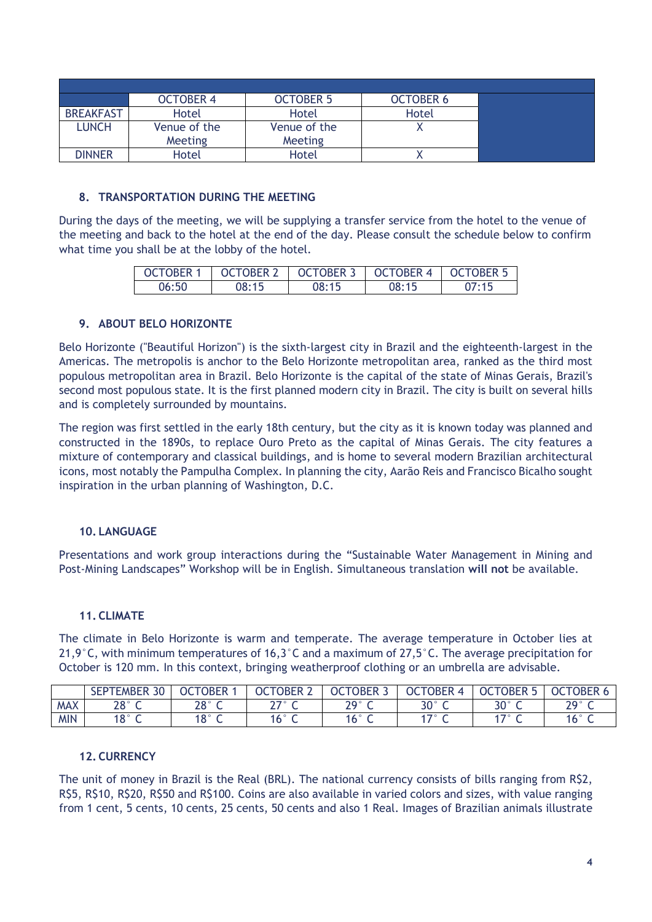|                  | <b>OCTOBER 4</b> | <b>OCTOBER 5</b> | <b>OCTOBER 6</b> |
|------------------|------------------|------------------|------------------|
| <b>BREAKFAST</b> | Hotel            | Hotel            | Hotel            |
| <b>LUNCH</b>     | Venue of the     | Venue of the     |                  |
|                  | <b>Meeting</b>   | <b>Meeting</b>   |                  |
| <b>DINNER</b>    | Hotel            | Hotel            |                  |

## **8. TRANSPORTATION DURING THE MEETING**

During the days of the meeting, we will be supplying a transfer service from the hotel to the venue of the meeting and back to the hotel at the end of the day. Please consult the schedule below to confirm what time you shall be at the lobby of the hotel.

| OCTOBER 1 | OCTOBER 2 | OCTOBER 3 OCTOBER 4 |       | <b>CCTOBER 5</b> |
|-----------|-----------|---------------------|-------|------------------|
| 06:50     | 08:15     | 08:15               | 08:15 | 07:15            |

## **9. ABOUT BELO HORIZONTE**

Belo Horizonte ("Beautiful Horizon") is the sixth-largest city in Brazil and the eighteenth-largest in the Americas. The metropolis is anchor to the Belo Horizonte metropolitan area, ranked as the third most populous metropolitan area in Brazil. Belo Horizonte is the capital of the state of Minas Gerais, Brazil's second most populous state. It is the first planned modern city in Brazil. The city is built on several hills and is completely surrounded by mountains.

The region was first settled in the early 18th century, but the city as it is known today was planned and constructed in the 1890s, to replace Ouro Preto as the capital of Minas Gerais. The city features a mixture of contemporary and classical buildings, and is home to several modern Brazilian architectural icons, most notably the Pampulha Complex. In planning the city, Aarão Reis and Francisco Bicalho sought inspiration in the urban planning of Washington, D.C.

## **10. LANGUAGE**

Presentations and work group interactions during the "Sustainable Water Management in Mining and Post-Mining Landscapes" Workshop will be in English. Simultaneous translation **will not** be available.

## **11. CLIMATE**

The climate in Belo Horizonte is warm and temperate. The average temperature in October lies at 21,9°C, with minimum temperatures of 16,3°C and a maximum of 27,5°C. The average precipitation for October is 120 mm. In this context, bringing weatherproof clothing or an umbrella are advisable.

|            | $\Omega$<br><b>SEPTEMBER</b><br>-30 | <b>OCTOBER</b> | <b>OCTOBER 2</b> | <b>OCTOBER</b> | <b>OCTOBER</b> | <b>OCTOBER 5</b> | <b>OCTOBER</b>         |
|------------|-------------------------------------|----------------|------------------|----------------|----------------|------------------|------------------------|
| <b>MAX</b> | $28^\circ$ C                        | 28° C          | $\neg \neg$      | $20^\circ$ C   | $30^\circ$ C   | $30^\circ$ C     | $20^{\circ}$ $\subset$ |
| <b>MIN</b> | $18^\circ$ C                        | $18^\circ$ C   | 16° C            | 16° C          | $\sim$         | 170C             | 16° C                  |

## **12. CURRENCY**

The unit of money in Brazil is the Real (BRL). The national currency consists of bills ranging from R\$2, R\$5, R\$10, R\$20, R\$50 and R\$100. Coins are also available in varied colors and sizes, with value ranging from 1 cent, 5 cents, 10 cents, 25 cents, 50 cents and also 1 Real. Images of Brazilian animals illustrate